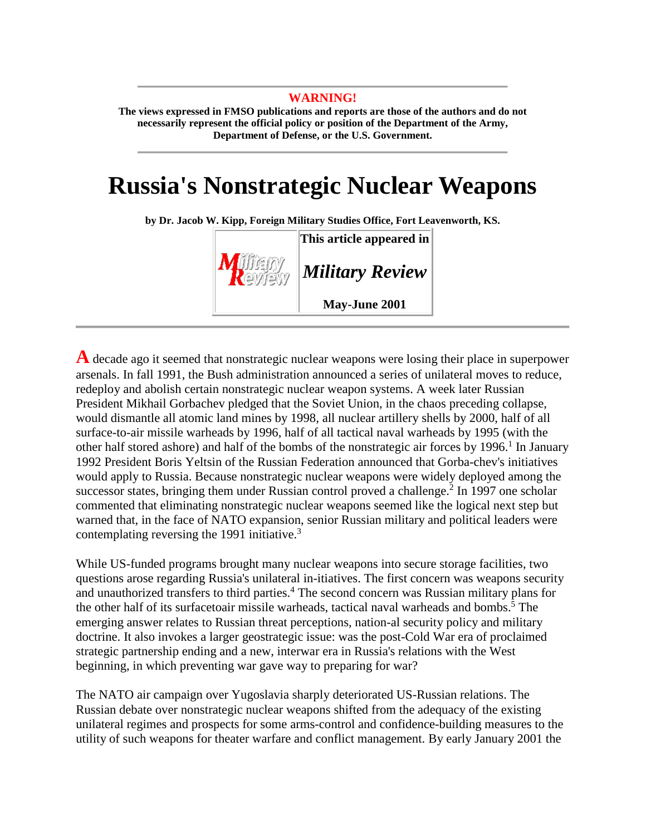#### **WARNING!**

**The views expressed in FMSO publications and reports are those of the authors and do not necessarily represent the official policy or position of the Department of the Army, Department of Defense, or the U.S. Government.** 

# **Russia's Nonstrategic Nuclear Weapons**

**by Dr. Jacob W. Kipp, Foreign Military Studies Office, Fort Leavenworth, KS.** 



**A** decade ago it seemed that nonstrategic nuclear weapons were losing their place in superpower arsenals. In fall 1991, the Bush administration announced a series of unilateral moves to reduce, redeploy and abolish certain nonstrategic nuclear weapon systems. A week later Russian President Mikhail Gorbachev pledged that the Soviet Union, in the chaos preceding collapse, would dismantle all atomic land mines by 1998, all nuclear artillery shells by 2000, half of all surface-to-air missile warheads by 1996, half of all tactical naval warheads by 1995 (with the other half stored ashore) and half of the bombs of the nonstrategic air forces by  $1996<sup>1</sup>$  In January 1992 President Boris Yeltsin of the Russian Federation announced that Gorba-chev's initiatives would apply to Russia. Because nonstrategic nuclear weapons were widely deployed among the successor states, bringing them under Russian control proved a challenge.<sup>2</sup> In 1997 one scholar commented that eliminating nonstrategic nuclear weapons seemed like the logical next step but warned that, in the face of NATO expansion, senior Russian military and political leaders were contemplating reversing the 1991 initiative.<sup>3</sup>

While US-funded programs brought many nuclear weapons into secure storage facilities, two questions arose regarding Russia's unilateral in-itiatives. The first concern was weapons security and unauthorized transfers to third parties.<sup>4</sup> The second concern was Russian military plans for the other half of its surfacetoair missile warheads, tactical naval warheads and bombs.<sup>5</sup> The emerging answer relates to Russian threat perceptions, nation-al security policy and military doctrine. It also invokes a larger geostrategic issue: was the post-Cold War era of proclaimed strategic partnership ending and a new, interwar era in Russia's relations with the West beginning, in which preventing war gave way to preparing for war?

The NATO air campaign over Yugoslavia sharply deteriorated US-Russian relations. The Russian debate over nonstrategic nuclear weapons shifted from the adequacy of the existing unilateral regimes and prospects for some arms-control and confidence-building measures to the utility of such weapons for theater warfare and conflict management. By early January 2001 the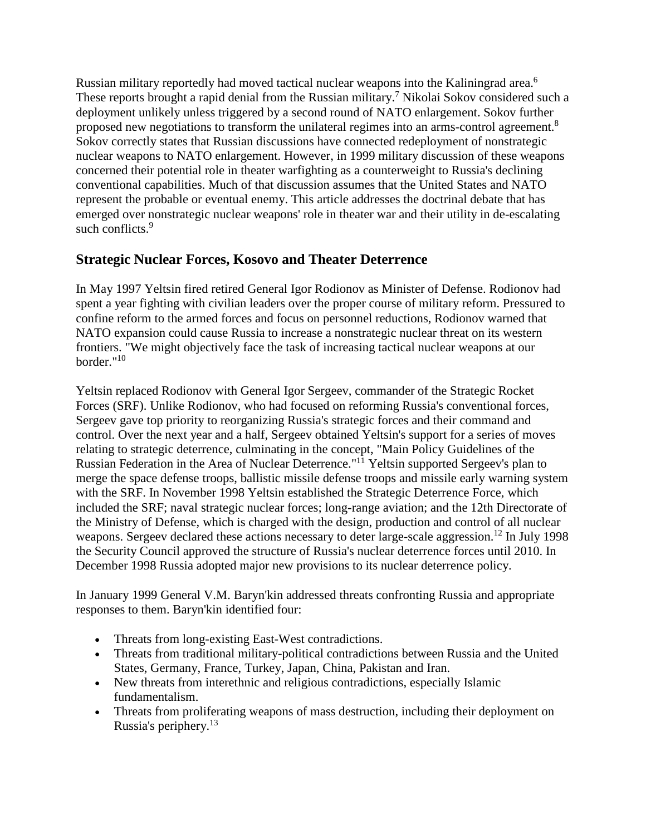Russian military reportedly had moved tactical nuclear weapons into the Kaliningrad area.<sup>6</sup> These reports brought a rapid denial from the Russian military.<sup>7</sup> Nikolai Sokov considered such a deployment unlikely unless triggered by a second round of NATO enlargement. Sokov further proposed new negotiations to transform the unilateral regimes into an arms-control agreement.8 Sokov correctly states that Russian discussions have connected redeployment of nonstrategic nuclear weapons to NATO enlargement. However, in 1999 military discussion of these weapons concerned their potential role in theater warfighting as a counterweight to Russia's declining conventional capabilities. Much of that discussion assumes that the United States and NATO represent the probable or eventual enemy. This article addresses the doctrinal debate that has emerged over nonstrategic nuclear weapons' role in theater war and their utility in de-escalating such conflicts.<sup>9</sup>

## **Strategic Nuclear Forces, Kosovo and Theater Deterrence**

In May 1997 Yeltsin fired retired General Igor Rodionov as Minister of Defense. Rodionov had spent a year fighting with civilian leaders over the proper course of military reform. Pressured to confine reform to the armed forces and focus on personnel reductions, Rodionov warned that NATO expansion could cause Russia to increase a nonstrategic nuclear threat on its western frontiers. "We might objectively face the task of increasing tactical nuclear weapons at our border."10

Yeltsin replaced Rodionov with General Igor Sergeev, commander of the Strategic Rocket Forces (SRF). Unlike Rodionov, who had focused on reforming Russia's conventional forces, Sergeev gave top priority to reorganizing Russia's strategic forces and their command and control. Over the next year and a half, Sergeev obtained Yeltsin's support for a series of moves relating to strategic deterrence, culminating in the concept, "Main Policy Guidelines of the Russian Federation in the Area of Nuclear Deterrence."11 Yeltsin supported Sergeev's plan to merge the space defense troops, ballistic missile defense troops and missile early warning system with the SRF. In November 1998 Yeltsin established the Strategic Deterrence Force, which included the SRF; naval strategic nuclear forces; long-range aviation; and the 12th Directorate of the Ministry of Defense, which is charged with the design, production and control of all nuclear weapons. Sergeev declared these actions necessary to deter large-scale aggression.<sup>12</sup> In July 1998 the Security Council approved the structure of Russia's nuclear deterrence forces until 2010. In December 1998 Russia adopted major new provisions to its nuclear deterrence policy.

In January 1999 General V.M. Baryn'kin addressed threats confronting Russia and appropriate responses to them. Baryn'kin identified four:

- Threats from long-existing East-West contradictions.
- Threats from traditional military-political contradictions between Russia and the United States, Germany, France, Turkey, Japan, China, Pakistan and Iran.
- New threats from interethnic and religious contradictions, especially Islamic fundamentalism.
- Threats from proliferating weapons of mass destruction, including their deployment on Russia's periphery.13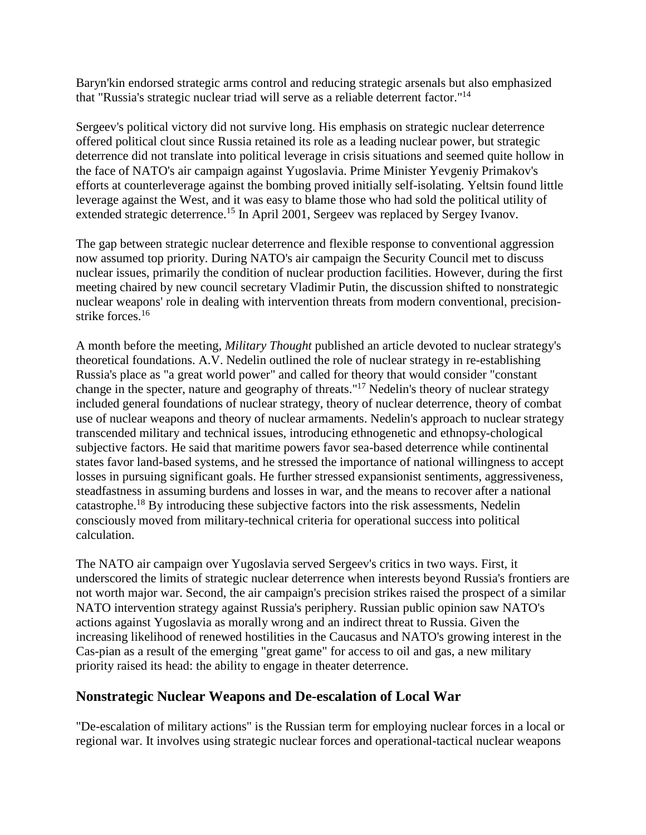Baryn'kin endorsed strategic arms control and reducing strategic arsenals but also emphasized that "Russia's strategic nuclear triad will serve as a reliable deterrent factor."14

Sergeev's political victory did not survive long. His emphasis on strategic nuclear deterrence offered political clout since Russia retained its role as a leading nuclear power, but strategic deterrence did not translate into political leverage in crisis situations and seemed quite hollow in the face of NATO's air campaign against Yugoslavia. Prime Minister Yevgeniy Primakov's efforts at counterleverage against the bombing proved initially self-isolating. Yeltsin found little leverage against the West, and it was easy to blame those who had sold the political utility of extended strategic deterrence.<sup>15</sup> In April 2001, Sergeev was replaced by Sergey Ivanov.

The gap between strategic nuclear deterrence and flexible response to conventional aggression now assumed top priority. During NATO's air campaign the Security Council met to discuss nuclear issues, primarily the condition of nuclear production facilities. However, during the first meeting chaired by new council secretary Vladimir Putin, the discussion shifted to nonstrategic nuclear weapons' role in dealing with intervention threats from modern conventional, precisionstrike forces.<sup>16</sup>

A month before the meeting, *Military Thought* published an article devoted to nuclear strategy's theoretical foundations. A.V. Nedelin outlined the role of nuclear strategy in re-establishing Russia's place as "a great world power" and called for theory that would consider "constant change in the specter, nature and geography of threats."17 Nedelin's theory of nuclear strategy included general foundations of nuclear strategy, theory of nuclear deterrence, theory of combat use of nuclear weapons and theory of nuclear armaments. Nedelin's approach to nuclear strategy transcended military and technical issues, introducing ethnogenetic and ethnopsy-chological subjective factors. He said that maritime powers favor sea-based deterrence while continental states favor land-based systems, and he stressed the importance of national willingness to accept losses in pursuing significant goals. He further stressed expansionist sentiments, aggressiveness, steadfastness in assuming burdens and losses in war, and the means to recover after a national catastrophe.18 By introducing these subjective factors into the risk assessments, Nedelin consciously moved from military-technical criteria for operational success into political calculation.

The NATO air campaign over Yugoslavia served Sergeev's critics in two ways. First, it underscored the limits of strategic nuclear deterrence when interests beyond Russia's frontiers are not worth major war. Second, the air campaign's precision strikes raised the prospect of a similar NATO intervention strategy against Russia's periphery. Russian public opinion saw NATO's actions against Yugoslavia as morally wrong and an indirect threat to Russia. Given the increasing likelihood of renewed hostilities in the Caucasus and NATO's growing interest in the Cas-pian as a result of the emerging "great game" for access to oil and gas, a new military priority raised its head: the ability to engage in theater deterrence.

### **Nonstrategic Nuclear Weapons and De-escalation of Local War**

"De-escalation of military actions" is the Russian term for employing nuclear forces in a local or regional war. It involves using strategic nuclear forces and operational-tactical nuclear weapons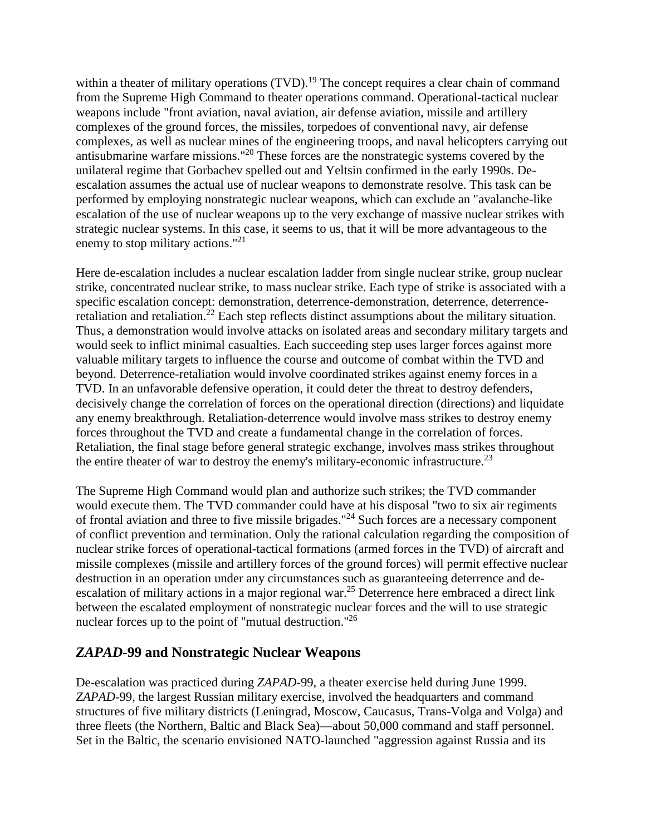within a theater of military operations (TVD).<sup>19</sup> The concept requires a clear chain of command from the Supreme High Command to theater operations command. Operational-tactical nuclear weapons include "front aviation, naval aviation, air defense aviation, missile and artillery complexes of the ground forces, the missiles, torpedoes of conventional navy, air defense complexes, as well as nuclear mines of the engineering troops, and naval helicopters carrying out antisubmarine warfare missions."20 These forces are the nonstrategic systems covered by the unilateral regime that Gorbachev spelled out and Yeltsin confirmed in the early 1990s. Deescalation assumes the actual use of nuclear weapons to demonstrate resolve. This task can be performed by employing nonstrategic nuclear weapons, which can exclude an "avalanche-like escalation of the use of nuclear weapons up to the very exchange of massive nuclear strikes with strategic nuclear systems. In this case, it seems to us, that it will be more advantageous to the enemy to stop military actions."<sup>21</sup>

Here de-escalation includes a nuclear escalation ladder from single nuclear strike, group nuclear strike, concentrated nuclear strike, to mass nuclear strike. Each type of strike is associated with a specific escalation concept: demonstration, deterrence-demonstration, deterrence, deterrenceretaliation and retaliation.<sup>22</sup> Each step reflects distinct assumptions about the military situation. Thus, a demonstration would involve attacks on isolated areas and secondary military targets and would seek to inflict minimal casualties. Each succeeding step uses larger forces against more valuable military targets to influence the course and outcome of combat within the TVD and beyond. Deterrence-retaliation would involve coordinated strikes against enemy forces in a TVD. In an unfavorable defensive operation, it could deter the threat to destroy defenders, decisively change the correlation of forces on the operational direction (directions) and liquidate any enemy breakthrough. Retaliation-deterrence would involve mass strikes to destroy enemy forces throughout the TVD and create a fundamental change in the correlation of forces. Retaliation, the final stage before general strategic exchange, involves mass strikes throughout the entire theater of war to destroy the enemy's military-economic infrastructure.<sup>23</sup>

The Supreme High Command would plan and authorize such strikes; the TVD commander would execute them. The TVD commander could have at his disposal "two to six air regiments of frontal aviation and three to five missile brigades."24 Such forces are a necessary component of conflict prevention and termination. Only the rational calculation regarding the composition of nuclear strike forces of operational-tactical formations (armed forces in the TVD) of aircraft and missile complexes (missile and artillery forces of the ground forces) will permit effective nuclear destruction in an operation under any circumstances such as guaranteeing deterrence and deescalation of military actions in a major regional war.<sup>25</sup> Deterrence here embraced a direct link between the escalated employment of nonstrategic nuclear forces and the will to use strategic nuclear forces up to the point of "mutual destruction."<sup>26</sup>

### *ZAPAD***-99 and Nonstrategic Nuclear Weapons**

De-escalation was practiced during *ZAPAD*-99, a theater exercise held during June 1999. *ZAPAD*-99, the largest Russian military exercise, involved the headquarters and command structures of five military districts (Leningrad, Moscow, Caucasus, Trans-Volga and Volga) and three fleets (the Northern, Baltic and Black Sea)—about 50,000 command and staff personnel. Set in the Baltic, the scenario envisioned NATO-launched "aggression against Russia and its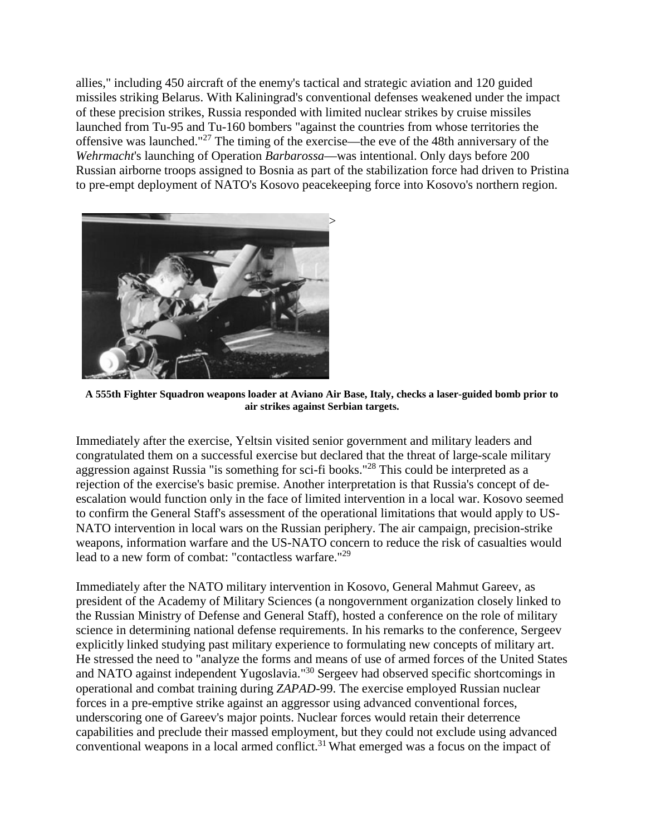allies," including 450 aircraft of the enemy's tactical and strategic aviation and 120 guided missiles striking Belarus. With Kaliningrad's conventional defenses weakened under the impact of these precision strikes, Russia responded with limited nuclear strikes by cruise missiles launched from Tu-95 and Tu-160 bombers "against the countries from whose territories the offensive was launched."<sup>27</sup> The timing of the exercise—the eve of the 48th anniversary of the *Wehrmacht*'s launching of Operation *Barbarossa*—was intentional. Only days before 200 Russian airborne troops assigned to Bosnia as part of the stabilization force had driven to Pristina to pre-empt deployment of NATO's Kosovo peacekeeping force into Kosovo's northern region.



**A 555th Fighter Squadron weapons loader at Aviano Air Base, Italy, checks a laser-guided bomb prior to air strikes against Serbian targets.**

Immediately after the exercise, Yeltsin visited senior government and military leaders and congratulated them on a successful exercise but declared that the threat of large-scale military aggression against Russia "is something for sci-fi books."28 This could be interpreted as a rejection of the exercise's basic premise. Another interpretation is that Russia's concept of deescalation would function only in the face of limited intervention in a local war. Kosovo seemed to confirm the General Staff's assessment of the operational limitations that would apply to US-NATO intervention in local wars on the Russian periphery. The air campaign, precision-strike weapons, information warfare and the US-NATO concern to reduce the risk of casualties would lead to a new form of combat: "contactless warfare."29

Immediately after the NATO military intervention in Kosovo, General Mahmut Gareev, as president of the Academy of Military Sciences (a nongovernment organization closely linked to the Russian Ministry of Defense and General Staff), hosted a conference on the role of military science in determining national defense requirements. In his remarks to the conference, Sergeev explicitly linked studying past military experience to formulating new concepts of military art. He stressed the need to "analyze the forms and means of use of armed forces of the United States and NATO against independent Yugoslavia."30 Sergeev had observed specific shortcomings in operational and combat training during *ZAPAD*-99. The exercise employed Russian nuclear forces in a pre-emptive strike against an aggressor using advanced conventional forces, underscoring one of Gareev's major points. Nuclear forces would retain their deterrence capabilities and preclude their massed employment, but they could not exclude using advanced conventional weapons in a local armed conflict.<sup>31</sup> What emerged was a focus on the impact of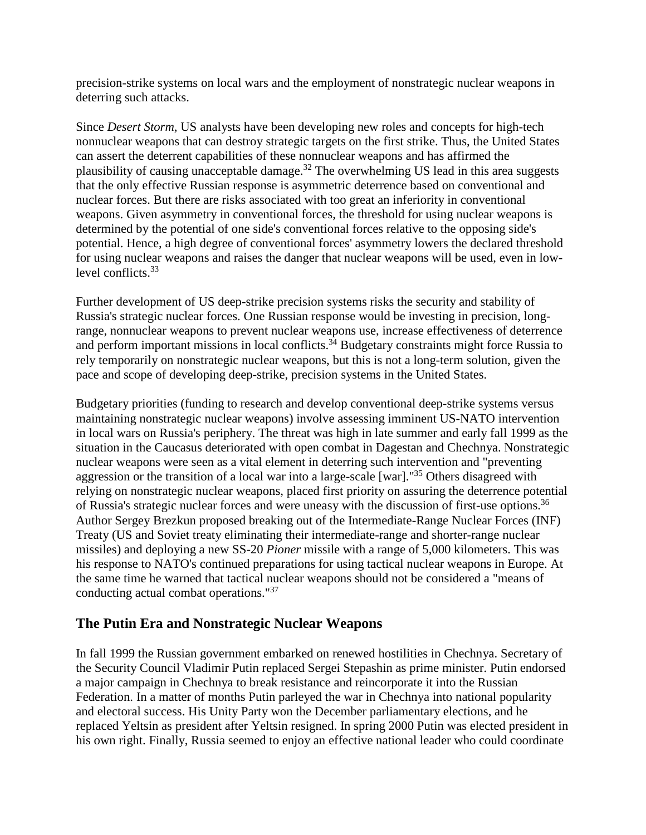precision-strike systems on local wars and the employment of nonstrategic nuclear weapons in deterring such attacks.

Since *Desert Storm*, US analysts have been developing new roles and concepts for high-tech nonnuclear weapons that can destroy strategic targets on the first strike. Thus, the United States can assert the deterrent capabilities of these nonnuclear weapons and has affirmed the plausibility of causing unacceptable damage.<sup>32</sup> The overwhelming US lead in this area suggests that the only effective Russian response is asymmetric deterrence based on conventional and nuclear forces. But there are risks associated with too great an inferiority in conventional weapons. Given asymmetry in conventional forces, the threshold for using nuclear weapons is determined by the potential of one side's conventional forces relative to the opposing side's potential. Hence, a high degree of conventional forces' asymmetry lowers the declared threshold for using nuclear weapons and raises the danger that nuclear weapons will be used, even in lowlevel conflicts.<sup>33</sup>

Further development of US deep-strike precision systems risks the security and stability of Russia's strategic nuclear forces. One Russian response would be investing in precision, longrange, nonnuclear weapons to prevent nuclear weapons use, increase effectiveness of deterrence and perform important missions in local conflicts.<sup>34</sup> Budgetary constraints might force Russia to rely temporarily on nonstrategic nuclear weapons, but this is not a long-term solution, given the pace and scope of developing deep-strike, precision systems in the United States.

Budgetary priorities (funding to research and develop conventional deep-strike systems versus maintaining nonstrategic nuclear weapons) involve assessing imminent US-NATO intervention in local wars on Russia's periphery. The threat was high in late summer and early fall 1999 as the situation in the Caucasus deteriorated with open combat in Dagestan and Chechnya. Nonstrategic nuclear weapons were seen as a vital element in deterring such intervention and "preventing aggression or the transition of a local war into a large-scale [war]."<sup>35</sup> Others disagreed with relying on nonstrategic nuclear weapons, placed first priority on assuring the deterrence potential of Russia's strategic nuclear forces and were uneasy with the discussion of first-use options.<sup>36</sup> Author Sergey Brezkun proposed breaking out of the Intermediate-Range Nuclear Forces (INF) Treaty (US and Soviet treaty eliminating their intermediate-range and shorter-range nuclear missiles) and deploying a new SS-20 *Pioner* missile with a range of 5,000 kilometers. This was his response to NATO's continued preparations for using tactical nuclear weapons in Europe. At the same time he warned that tactical nuclear weapons should not be considered a "means of conducting actual combat operations."37

### **The Putin Era and Nonstrategic Nuclear Weapons**

In fall 1999 the Russian government embarked on renewed hostilities in Chechnya. Secretary of the Security Council Vladimir Putin replaced Sergei Stepashin as prime minister. Putin endorsed a major campaign in Chechnya to break resistance and reincorporate it into the Russian Federation. In a matter of months Putin parleyed the war in Chechnya into national popularity and electoral success. His Unity Party won the December parliamentary elections, and he replaced Yeltsin as president after Yeltsin resigned. In spring 2000 Putin was elected president in his own right. Finally, Russia seemed to enjoy an effective national leader who could coordinate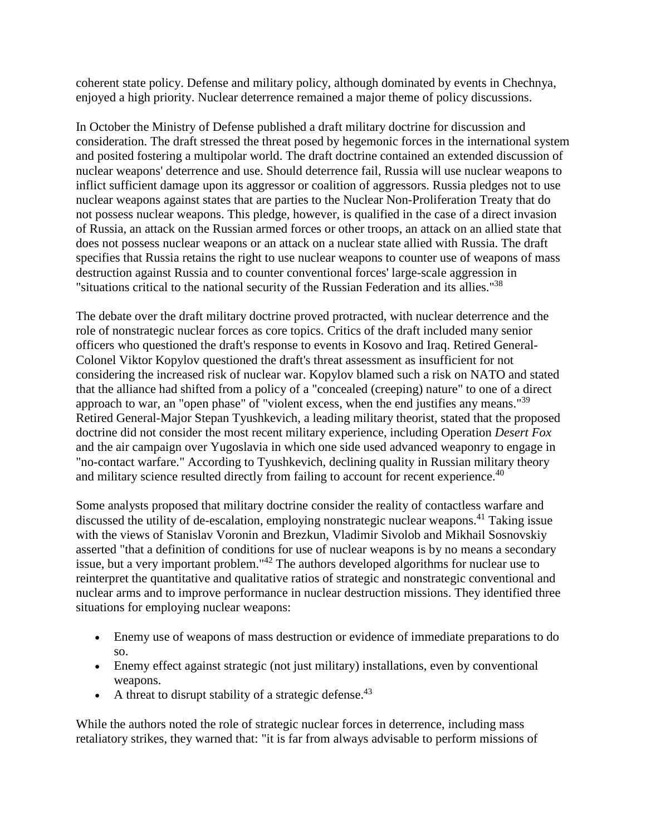coherent state policy. Defense and military policy, although dominated by events in Chechnya, enjoyed a high priority. Nuclear deterrence remained a major theme of policy discussions.

In October the Ministry of Defense published a draft military doctrine for discussion and consideration. The draft stressed the threat posed by hegemonic forces in the international system and posited fostering a multipolar world. The draft doctrine contained an extended discussion of nuclear weapons' deterrence and use. Should deterrence fail, Russia will use nuclear weapons to inflict sufficient damage upon its aggressor or coalition of aggressors. Russia pledges not to use nuclear weapons against states that are parties to the Nuclear Non-Proliferation Treaty that do not possess nuclear weapons. This pledge, however, is qualified in the case of a direct invasion of Russia, an attack on the Russian armed forces or other troops, an attack on an allied state that does not possess nuclear weapons or an attack on a nuclear state allied with Russia. The draft specifies that Russia retains the right to use nuclear weapons to counter use of weapons of mass destruction against Russia and to counter conventional forces' large-scale aggression in "situations critical to the national security of the Russian Federation and its allies."38

The debate over the draft military doctrine proved protracted, with nuclear deterrence and the role of nonstrategic nuclear forces as core topics. Critics of the draft included many senior officers who questioned the draft's response to events in Kosovo and Iraq. Retired General-Colonel Viktor Kopylov questioned the draft's threat assessment as insufficient for not considering the increased risk of nuclear war. Kopylov blamed such a risk on NATO and stated that the alliance had shifted from a policy of a "concealed (creeping) nature" to one of a direct approach to war, an "open phase" of "violent excess, when the end justifies any means."<sup>39</sup> Retired General-Major Stepan Tyushkevich, a leading military theorist, stated that the proposed doctrine did not consider the most recent military experience, including Operation *Desert Fox* and the air campaign over Yugoslavia in which one side used advanced weaponry to engage in "no-contact warfare." According to Tyushkevich, declining quality in Russian military theory and military science resulted directly from failing to account for recent experience.<sup>40</sup>

Some analysts proposed that military doctrine consider the reality of contactless warfare and discussed the utility of de-escalation, employing nonstrategic nuclear weapons.<sup>41</sup> Taking issue with the views of Stanislav Voronin and Brezkun, Vladimir Sivolob and Mikhail Sosnovskiy asserted "that a definition of conditions for use of nuclear weapons is by no means a secondary issue, but a very important problem."42 The authors developed algorithms for nuclear use to reinterpret the quantitative and qualitative ratios of strategic and nonstrategic conventional and nuclear arms and to improve performance in nuclear destruction missions. They identified three situations for employing nuclear weapons:

- Enemy use of weapons of mass destruction or evidence of immediate preparations to do so.
- Enemy effect against strategic (not just military) installations, even by conventional weapons.
- A threat to disrupt stability of a strategic defense.  $43$

While the authors noted the role of strategic nuclear forces in deterrence, including mass retaliatory strikes, they warned that: "it is far from always advisable to perform missions of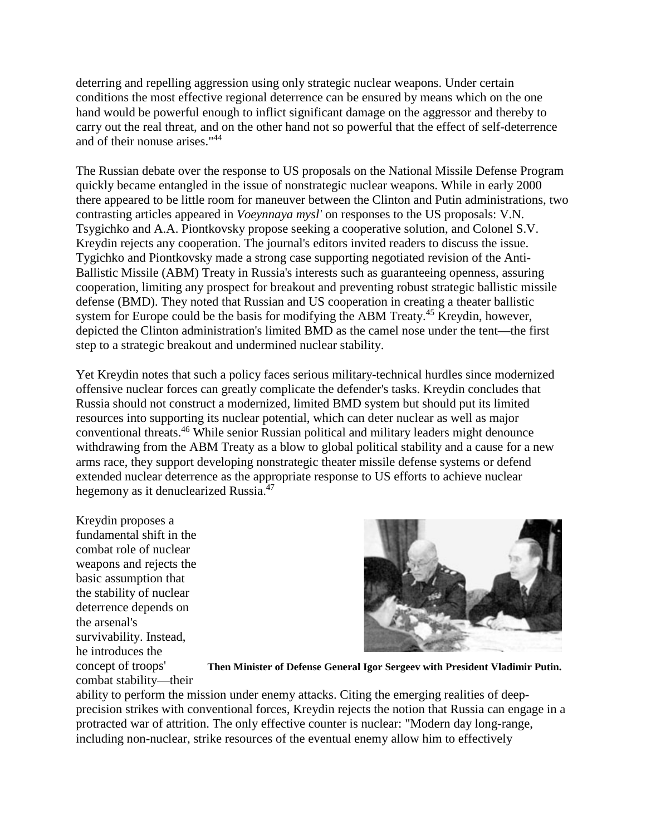deterring and repelling aggression using only strategic nuclear weapons. Under certain conditions the most effective regional deterrence can be ensured by means which on the one hand would be powerful enough to inflict significant damage on the aggressor and thereby to carry out the real threat, and on the other hand not so powerful that the effect of self-deterrence and of their nonuse arises."44

The Russian debate over the response to US proposals on the National Missile Defense Program quickly became entangled in the issue of nonstrategic nuclear weapons. While in early 2000 there appeared to be little room for maneuver between the Clinton and Putin administrations, two contrasting articles appeared in *Voeynnaya mysl'* on responses to the US proposals: V.N. Tsygichko and A.A. Piontkovsky propose seeking a cooperative solution, and Colonel S.V. Kreydin rejects any cooperation. The journal's editors invited readers to discuss the issue. Tygichko and Piontkovsky made a strong case supporting negotiated revision of the Anti-Ballistic Missile (ABM) Treaty in Russia's interests such as guaranteeing openness, assuring cooperation, limiting any prospect for breakout and preventing robust strategic ballistic missile defense (BMD). They noted that Russian and US cooperation in creating a theater ballistic system for Europe could be the basis for modifying the ABM Treaty.<sup>45</sup> Kreydin, however, depicted the Clinton administration's limited BMD as the camel nose under the tent—the first step to a strategic breakout and undermined nuclear stability.

Yet Kreydin notes that such a policy faces serious military-technical hurdles since modernized offensive nuclear forces can greatly complicate the defender's tasks. Kreydin concludes that Russia should not construct a modernized, limited BMD system but should put its limited resources into supporting its nuclear potential, which can deter nuclear as well as major conventional threats.<sup>46</sup> While senior Russian political and military leaders might denounce withdrawing from the ABM Treaty as a blow to global political stability and a cause for a new arms race, they support developing nonstrategic theater missile defense systems or defend extended nuclear deterrence as the appropriate response to US efforts to achieve nuclear hegemony as it denuclearized Russia.<sup>47</sup>

Kreydin proposes a fundamental shift in the combat role of nuclear weapons and rejects the basic assumption that the stability of nuclear deterrence depends on the arsenal's survivability. Instead, he introduces the concept of troops' combat stability—their



**Then Minister of Defense General Igor Sergeev with President Vladimir Putin.**

ability to perform the mission under enemy attacks. Citing the emerging realities of deepprecision strikes with conventional forces, Kreydin rejects the notion that Russia can engage in a protracted war of attrition. The only effective counter is nuclear: "Modern day long-range, including non-nuclear, strike resources of the eventual enemy allow him to effectively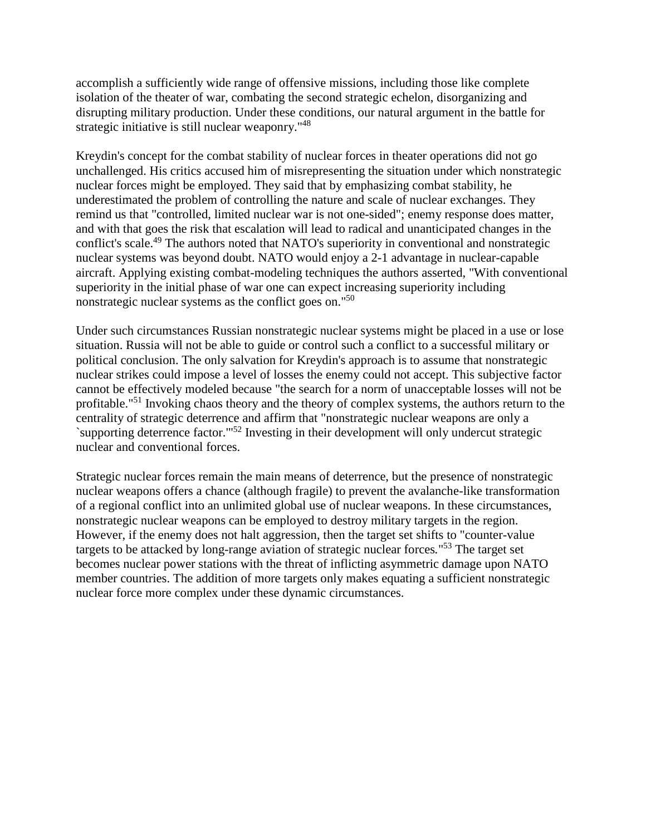accomplish a sufficiently wide range of offensive missions, including those like complete isolation of the theater of war, combating the second strategic echelon, disorganizing and disrupting military production. Under these conditions, our natural argument in the battle for strategic initiative is still nuclear weaponry."<sup>48</sup>

Kreydin's concept for the combat stability of nuclear forces in theater operations did not go unchallenged. His critics accused him of misrepresenting the situation under which nonstrategic nuclear forces might be employed. They said that by emphasizing combat stability, he underestimated the problem of controlling the nature and scale of nuclear exchanges. They remind us that "controlled, limited nuclear war is not one-sided"; enemy response does matter, and with that goes the risk that escalation will lead to radical and unanticipated changes in the conflict's scale.<sup>49</sup> The authors noted that NATO's superiority in conventional and nonstrategic nuclear systems was beyond doubt. NATO would enjoy a 2-1 advantage in nuclear-capable aircraft. Applying existing combat-modeling techniques the authors asserted, "With conventional superiority in the initial phase of war one can expect increasing superiority including nonstrategic nuclear systems as the conflict goes on."50

Under such circumstances Russian nonstrategic nuclear systems might be placed in a use or lose situation. Russia will not be able to guide or control such a conflict to a successful military or political conclusion. The only salvation for Kreydin's approach is to assume that nonstrategic nuclear strikes could impose a level of losses the enemy could not accept. This subjective factor cannot be effectively modeled because "the search for a norm of unacceptable losses will not be profitable."51 Invoking chaos theory and the theory of complex systems, the authors return to the centrality of strategic deterrence and affirm that "nonstrategic nuclear weapons are only a `supporting deterrence factor.'"52 Investing in their development will only undercut strategic nuclear and conventional forces.

Strategic nuclear forces remain the main means of deterrence, but the presence of nonstrategic nuclear weapons offers a chance (although fragile) to prevent the avalanche-like transformation of a regional conflict into an unlimited global use of nuclear weapons. In these circumstances, nonstrategic nuclear weapons can be employed to destroy military targets in the region. However, if the enemy does not halt aggression, then the target set shifts to "counter-value targets to be attacked by long-range aviation of strategic nuclear forces*.*"53 The target set becomes nuclear power stations with the threat of inflicting asymmetric damage upon NATO member countries. The addition of more targets only makes equating a sufficient nonstrategic nuclear force more complex under these dynamic circumstances.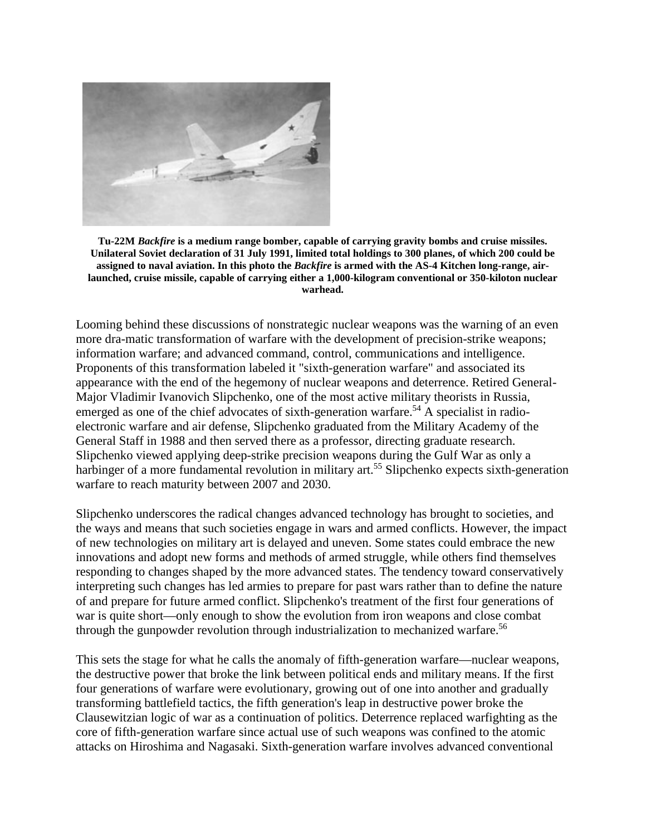

**Tu-22M** *Backfire* **is a medium range bomber, capable of carrying gravity bombs and cruise missiles. Unilateral Soviet declaration of 31 July 1991, limited total holdings to 300 planes, of which 200 could be assigned to naval aviation. In this photo the** *Backfire* **is armed with the AS-4 Kitchen long-range, airlaunched, cruise missile, capable of carrying either a 1,000-kilogram conventional or 350-kiloton nuclear warhead.**

Looming behind these discussions of nonstrategic nuclear weapons was the warning of an even more dra-matic transformation of warfare with the development of precision-strike weapons; information warfare; and advanced command, control, communications and intelligence. Proponents of this transformation labeled it "sixth-generation warfare" and associated its appearance with the end of the hegemony of nuclear weapons and deterrence. Retired General-Major Vladimir Ivanovich Slipchenko, one of the most active military theorists in Russia, emerged as one of the chief advocates of sixth-generation warfare.<sup>54</sup> A specialist in radioelectronic warfare and air defense, Slipchenko graduated from the Military Academy of the General Staff in 1988 and then served there as a professor, directing graduate research. Slipchenko viewed applying deep-strike precision weapons during the Gulf War as only a harbinger of a more fundamental revolution in military art.<sup>55</sup> Slipchenko expects sixth-generation warfare to reach maturity between 2007 and 2030.

Slipchenko underscores the radical changes advanced technology has brought to societies, and the ways and means that such societies engage in wars and armed conflicts. However, the impact of new technologies on military art is delayed and uneven. Some states could embrace the new innovations and adopt new forms and methods of armed struggle, while others find themselves responding to changes shaped by the more advanced states. The tendency toward conservatively interpreting such changes has led armies to prepare for past wars rather than to define the nature of and prepare for future armed conflict. Slipchenko's treatment of the first four generations of war is quite short—only enough to show the evolution from iron weapons and close combat through the gunpowder revolution through industrialization to mechanized warfare.<sup>56</sup>

This sets the stage for what he calls the anomaly of fifth-generation warfare—nuclear weapons, the destructive power that broke the link between political ends and military means. If the first four generations of warfare were evolutionary, growing out of one into another and gradually transforming battlefield tactics, the fifth generation's leap in destructive power broke the Clausewitzian logic of war as a continuation of politics. Deterrence replaced warfighting as the core of fifth-generation warfare since actual use of such weapons was confined to the atomic attacks on Hiroshima and Nagasaki. Sixth-generation warfare involves advanced conventional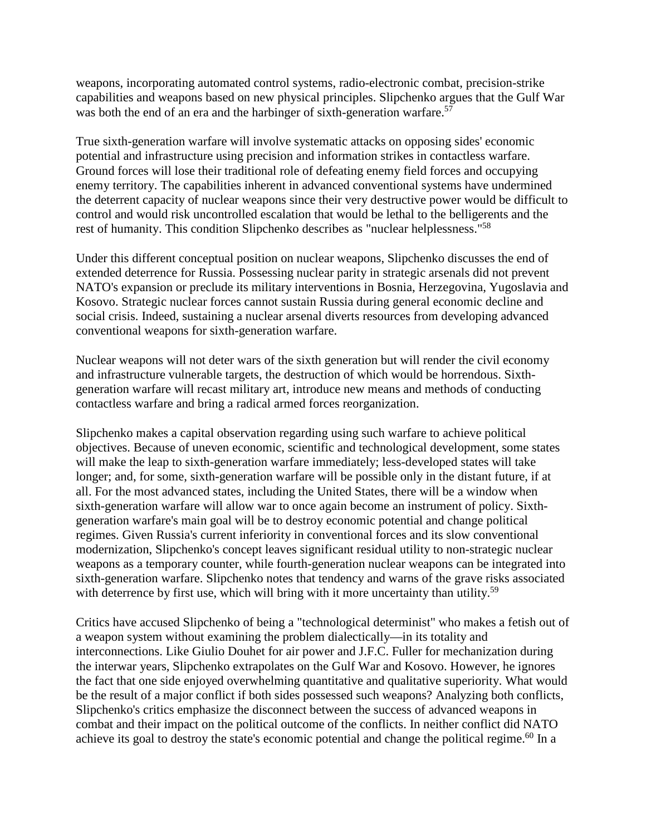weapons, incorporating automated control systems, radio-electronic combat, precision-strike capabilities and weapons based on new physical principles. Slipchenko argues that the Gulf War was both the end of an era and the harbinger of sixth-generation warfare.<sup>57</sup>

True sixth-generation warfare will involve systematic attacks on opposing sides' economic potential and infrastructure using precision and information strikes in contactless warfare. Ground forces will lose their traditional role of defeating enemy field forces and occupying enemy territory. The capabilities inherent in advanced conventional systems have undermined the deterrent capacity of nuclear weapons since their very destructive power would be difficult to control and would risk uncontrolled escalation that would be lethal to the belligerents and the rest of humanity. This condition Slipchenko describes as "nuclear helplessness."58

Under this different conceptual position on nuclear weapons, Slipchenko discusses the end of extended deterrence for Russia. Possessing nuclear parity in strategic arsenals did not prevent NATO's expansion or preclude its military interventions in Bosnia, Herzegovina, Yugoslavia and Kosovo. Strategic nuclear forces cannot sustain Russia during general economic decline and social crisis. Indeed, sustaining a nuclear arsenal diverts resources from developing advanced conventional weapons for sixth-generation warfare.

Nuclear weapons will not deter wars of the sixth generation but will render the civil economy and infrastructure vulnerable targets, the destruction of which would be horrendous. Sixthgeneration warfare will recast military art, introduce new means and methods of conducting contactless warfare and bring a radical armed forces reorganization.

Slipchenko makes a capital observation regarding using such warfare to achieve political objectives. Because of uneven economic, scientific and technological development, some states will make the leap to sixth-generation warfare immediately; less-developed states will take longer; and, for some, sixth-generation warfare will be possible only in the distant future, if at all. For the most advanced states, including the United States, there will be a window when sixth-generation warfare will allow war to once again become an instrument of policy. Sixthgeneration warfare's main goal will be to destroy economic potential and change political regimes. Given Russia's current inferiority in conventional forces and its slow conventional modernization, Slipchenko's concept leaves significant residual utility to non-strategic nuclear weapons as a temporary counter, while fourth-generation nuclear weapons can be integrated into sixth-generation warfare. Slipchenko notes that tendency and warns of the grave risks associated with deterrence by first use, which will bring with it more uncertainty than utility.<sup>59</sup>

Critics have accused Slipchenko of being a "technological determinist" who makes a fetish out of a weapon system without examining the problem dialectically—in its totality and interconnections. Like Giulio Douhet for air power and J.F.C. Fuller for mechanization during the interwar years, Slipchenko extrapolates on the Gulf War and Kosovo. However, he ignores the fact that one side enjoyed overwhelming quantitative and qualitative superiority. What would be the result of a major conflict if both sides possessed such weapons? Analyzing both conflicts, Slipchenko's critics emphasize the disconnect between the success of advanced weapons in combat and their impact on the political outcome of the conflicts. In neither conflict did NATO achieve its goal to destroy the state's economic potential and change the political regime.<sup>60</sup> In a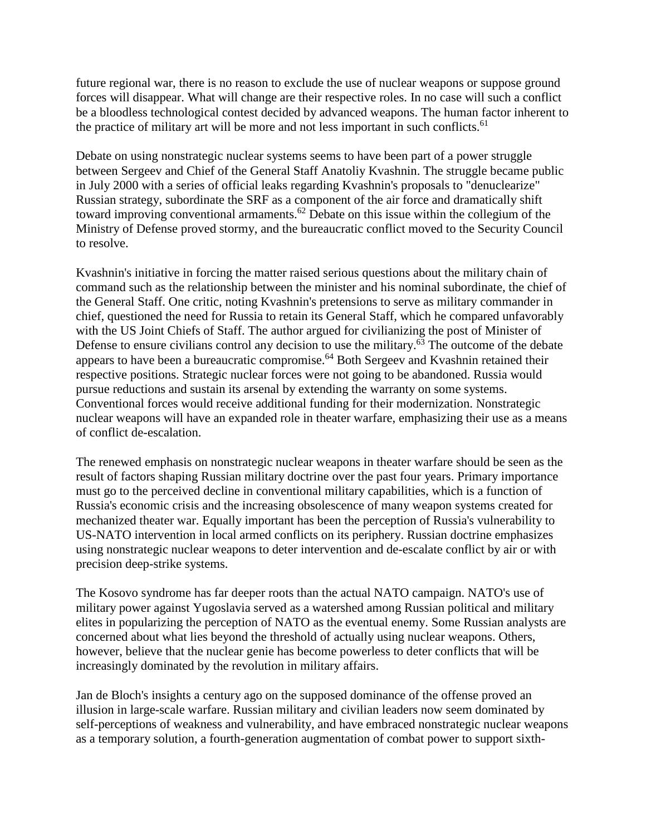future regional war, there is no reason to exclude the use of nuclear weapons or suppose ground forces will disappear. What will change are their respective roles. In no case will such a conflict be a bloodless technological contest decided by advanced weapons. The human factor inherent to the practice of military art will be more and not less important in such conflicts.<sup>61</sup>

Debate on using nonstrategic nuclear systems seems to have been part of a power struggle between Sergeev and Chief of the General Staff Anatoliy Kvashnin. The struggle became public in July 2000 with a series of official leaks regarding Kvashnin's proposals to "denuclearize" Russian strategy, subordinate the SRF as a component of the air force and dramatically shift toward improving conventional armaments.<sup>62</sup> Debate on this issue within the collegium of the Ministry of Defense proved stormy, and the bureaucratic conflict moved to the Security Council to resolve.

Kvashnin's initiative in forcing the matter raised serious questions about the military chain of command such as the relationship between the minister and his nominal subordinate, the chief of the General Staff. One critic, noting Kvashnin's pretensions to serve as military commander in chief, questioned the need for Russia to retain its General Staff, which he compared unfavorably with the US Joint Chiefs of Staff. The author argued for civilianizing the post of Minister of Defense to ensure civilians control any decision to use the military. $\frac{63}{10}$  The outcome of the debate appears to have been a bureaucratic compromise.<sup>64</sup> Both Sergeev and Kvashnin retained their respective positions. Strategic nuclear forces were not going to be abandoned. Russia would pursue reductions and sustain its arsenal by extending the warranty on some systems. Conventional forces would receive additional funding for their modernization. Nonstrategic nuclear weapons will have an expanded role in theater warfare, emphasizing their use as a means of conflict de-escalation.

The renewed emphasis on nonstrategic nuclear weapons in theater warfare should be seen as the result of factors shaping Russian military doctrine over the past four years. Primary importance must go to the perceived decline in conventional military capabilities, which is a function of Russia's economic crisis and the increasing obsolescence of many weapon systems created for mechanized theater war. Equally important has been the perception of Russia's vulnerability to US-NATO intervention in local armed conflicts on its periphery. Russian doctrine emphasizes using nonstrategic nuclear weapons to deter intervention and de-escalate conflict by air or with precision deep-strike systems.

The Kosovo syndrome has far deeper roots than the actual NATO campaign. NATO's use of military power against Yugoslavia served as a watershed among Russian political and military elites in popularizing the perception of NATO as the eventual enemy. Some Russian analysts are concerned about what lies beyond the threshold of actually using nuclear weapons. Others, however, believe that the nuclear genie has become powerless to deter conflicts that will be increasingly dominated by the revolution in military affairs.

Jan de Bloch's insights a century ago on the supposed dominance of the offense proved an illusion in large-scale warfare. Russian military and civilian leaders now seem dominated by self-perceptions of weakness and vulnerability, and have embraced nonstrategic nuclear weapons as a temporary solution, a fourth-generation augmentation of combat power to support sixth-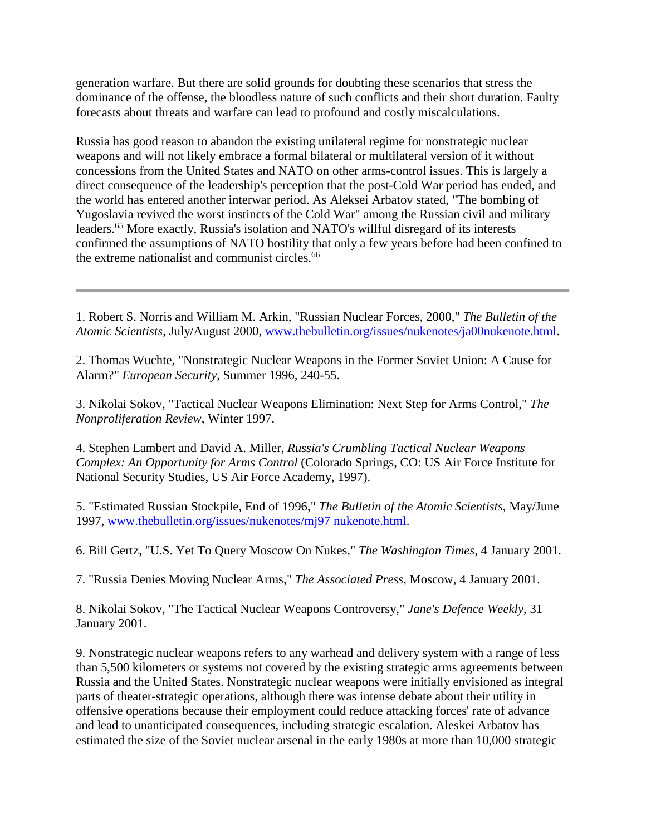generation warfare. But there are solid grounds for doubting these scenarios that stress the dominance of the offense, the bloodless nature of such conflicts and their short duration. Faulty forecasts about threats and warfare can lead to profound and costly miscalculations.

Russia has good reason to abandon the existing unilateral regime for nonstrategic nuclear weapons and will not likely embrace a formal bilateral or multilateral version of it without concessions from the United States and NATO on other arms-control issues. This is largely a direct consequence of the leadership's perception that the post-Cold War period has ended, and the world has entered another interwar period. As Aleksei Arbatov stated, "The bombing of Yugoslavia revived the worst instincts of the Cold War" among the Russian civil and military leaders.65 More exactly, Russia's isolation and NATO's willful disregard of its interests confirmed the assumptions of NATO hostility that only a few years before had been confined to the extreme nationalist and communist circles.<sup>66</sup>

1. Robert S. Norris and William M. Arkin, "Russian Nuclear Forces, 2000," *The Bulletin of the Atomic Scientists*, July/August 2000, www.thebulletin.org/issues/nukenotes/ja00nukenote.html.

2. Thomas Wuchte, "Nonstrategic Nuclear Weapons in the Former Soviet Union: A Cause for Alarm?" *European Security*, Summer 1996, 240-55.

3. Nikolai Sokov, "Tactical Nuclear Weapons Elimination: Next Step for Arms Control," *The Nonproliferation Review*, Winter 1997.

4. Stephen Lambert and David A. Miller, *Russia's Crumbling Tactical Nuclear Weapons Complex: An Opportunity for Arms Control* (Colorado Springs, CO: US Air Force Institute for National Security Studies, US Air Force Academy, 1997).

5. "Estimated Russian Stockpile, End of 1996," *The Bulletin of the Atomic Scientists*, May/June 1997, www.thebulletin.org/issues/nukenotes/mj97 nukenote.html.

6. Bill Gertz, "U.S. Yet To Query Moscow On Nukes," *The Washington Times*, 4 January 2001.

7. "Russia Denies Moving Nuclear Arms," *The Associated Press*, Moscow, 4 January 2001.

8. Nikolai Sokov, "The Tactical Nuclear Weapons Controversy," *Jane's Defence Weekly*, 31 January 2001.

9. Nonstrategic nuclear weapons refers to any warhead and delivery system with a range of less than 5,500 kilometers or systems not covered by the existing strategic arms agreements between Russia and the United States. Nonstrategic nuclear weapons were initially envisioned as integral parts of theater-strategic operations, although there was intense debate about their utility in offensive operations because their employment could reduce attacking forces' rate of advance and lead to unanticipated consequences, including strategic escalation. Aleskei Arbatov has estimated the size of the Soviet nuclear arsenal in the early 1980s at more than 10,000 strategic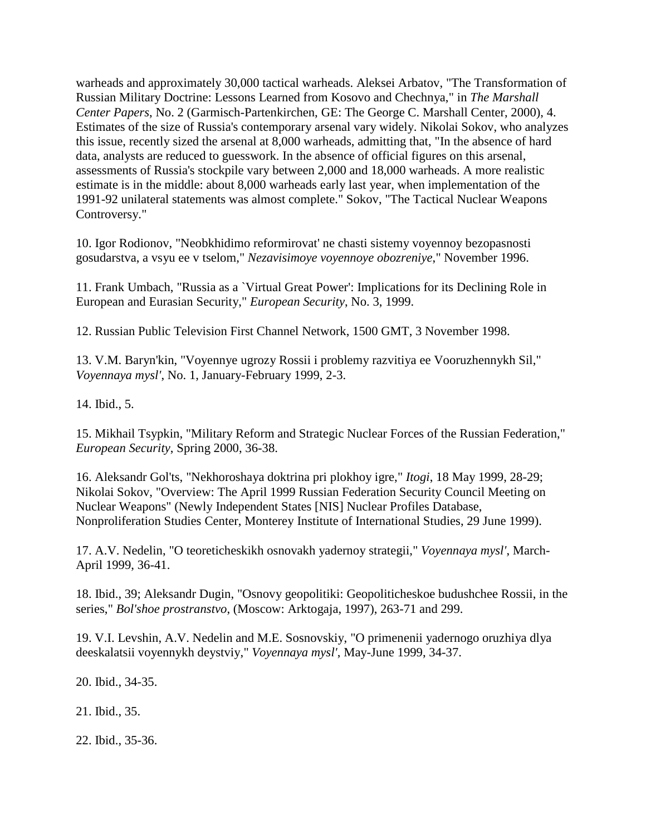warheads and approximately 30,000 tactical warheads. Aleksei Arbatov, "The Transformation of Russian Military Doctrine: Lessons Learned from Kosovo and Chechnya," in *The Marshall Center Papers*, No. 2 (Garmisch-Partenkirchen, GE: The George C. Marshall Center, 2000), 4. Estimates of the size of Russia's contemporary arsenal vary widely. Nikolai Sokov, who analyzes this issue, recently sized the arsenal at 8,000 warheads, admitting that, "In the absence of hard data, analysts are reduced to guesswork. In the absence of official figures on this arsenal, assessments of Russia's stockpile vary between 2,000 and 18,000 warheads. A more realistic estimate is in the middle: about 8,000 warheads early last year, when implementation of the 1991-92 unilateral statements was almost complete." Sokov, "The Tactical Nuclear Weapons Controversy."

10. Igor Rodionov, "Neobkhidimo reformirovat' ne chasti sistemy voyennoy bezopasnosti gosudarstva, a vsyu ee v tselom," *Nezavisimoye voyennoye obozreniye*," November 1996.

11. Frank Umbach, "Russia as a `Virtual Great Power': Implications for its Declining Role in European and Eurasian Security," *European Security*, No. 3, 1999.

12. Russian Public Television First Channel Network, 1500 GMT, 3 November 1998.

13. V.M. Baryn'kin, "Voyennye ugrozy Rossii i problemy razvitiya ee Vooruzhennykh Sil," *Voyennaya mysl'*, No. 1, January-February 1999, 2-3.

14. Ibid., 5.

15. Mikhail Tsypkin, "Military Reform and Strategic Nuclear Forces of the Russian Federation," *European Security*, Spring 2000, 36-38.

16. Aleksandr Gol'ts, "Nekhoroshaya doktrina pri plokhoy igre," *Itogi*, 18 May 1999, 28-29; Nikolai Sokov, "Overview: The April 1999 Russian Federation Security Council Meeting on Nuclear Weapons" (Newly Independent States [NIS] Nuclear Profiles Database, Nonproliferation Studies Center, Monterey Institute of International Studies, 29 June 1999).

17. A.V. Nedelin, "O teoreticheskikh osnovakh yadernoy strategii," *Voyennaya mysl'*, March-April 1999, 36-41.

18. Ibid., 39; Aleksandr Dugin, "Osnovy geopolitiki: Geopoliticheskoe budushchee Rossii, in the series," *Bol'shoe prostranstvo*, (Moscow: Arktogaja, 1997), 263-71 and 299.

19. V.I. Levshin, A.V. Nedelin and M.E. Sosnovskiy, "O primenenii yadernogo oruzhiya dlya deeskalatsii voyennykh deystviy," *Voyennaya mysl'*, May-June 1999, 34-37.

20. Ibid., 34-35.

21. Ibid., 35.

22. Ibid., 35-36.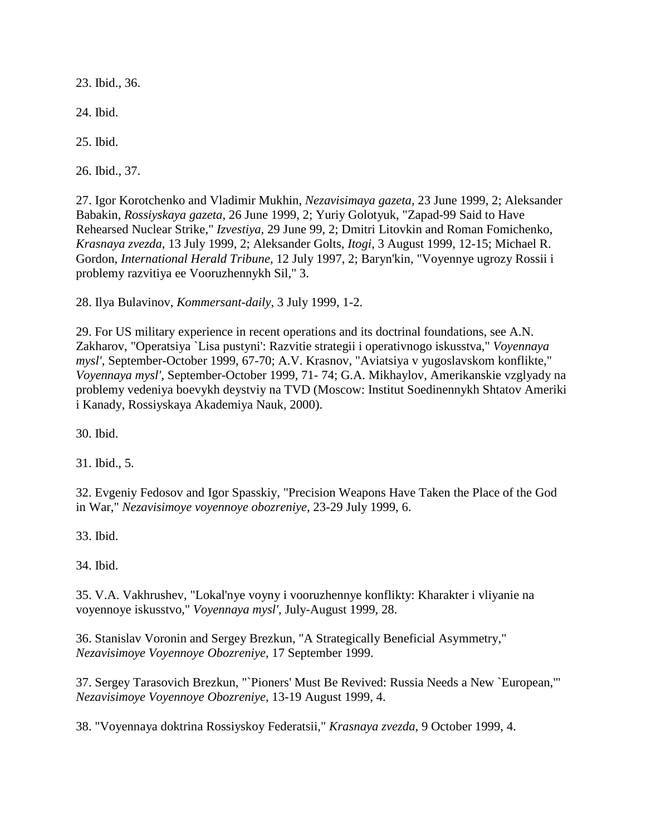23. Ibid., 36.

24. Ibid.

25. Ibid.

26. Ibid., 37.

27. Igor Korotchenko and Vladimir Mukhin, *Nezavisimaya gazeta*, 23 June 1999, 2; Aleksander Babakin, *Rossiyskaya gazeta*, 26 June 1999, 2; Yuriy Golotyuk, "Zapad-99 Said to Have Rehearsed Nuclear Strike," *Izvestiya*, 29 June 99, 2; Dmitri Litovkin and Roman Fomichenko, *Krasnaya zvezda*, 13 July 1999, 2; Aleksander Golts, *Itogi*, 3 August 1999, 12-15; Michael R. Gordon, *International Herald Tribune*, 12 July 1997, 2; Baryn'kin, "Voyennye ugrozy Rossii i problemy razvitiya ee Vooruzhennykh Sil," 3.

28. Ilya Bulavinov, *Kommersant-daily*, 3 July 1999, 1-2.

29. For US military experience in recent operations and its doctrinal foundations, see A.N. Zakharov, "Operatsiya `Lisa pustyni': Razvitie strategii i operativnogo iskusstva," *Voyennaya mysl'*, September-October 1999, 67-70; A.V. Krasnov, "Aviatsiya v yugoslavskom konflikte," *Voyennaya mysl'*, September-October 1999, 71- 74; G.A. Mikhaylov, Amerikanskie vzglyady na problemy vedeniya boevykh deystviy na TVD (Moscow: Institut Soedinennykh Shtatov Ameriki i Kanady, Rossiyskaya Akademiya Nauk, 2000).

30. Ibid.

31. Ibid., 5.

32. Evgeniy Fedosov and Igor Spasskiy, "Precision Weapons Have Taken the Place of the God in War," *Nezavisimoye voyennoye obozreniye*, 23-29 July 1999, 6.

33. Ibid.

34. Ibid.

35. V.A. Vakhrushev, "Lokal'nye voyny i vooruzhennye konflikty: Kharakter i vliyanie na voyennoye iskusstvo," *Voyennaya mysl'*, July-August 1999, 28.

36. Stanislav Voronin and Sergey Brezkun, "A Strategically Beneficial Asymmetry," *Nezavisimoye Voyennoye Obozreniye*, 17 September 1999.

37. Sergey Tarasovich Brezkun, "`Pioners' Must Be Revived: Russia Needs a New `European,'" *Nezavisimoye Voyennoye Obozreniye*, 13-19 August 1999, 4.

38. "Voyennaya doktrina Rossiyskoy Federatsii," *Krasnaya zvezda*, 9 October 1999, 4.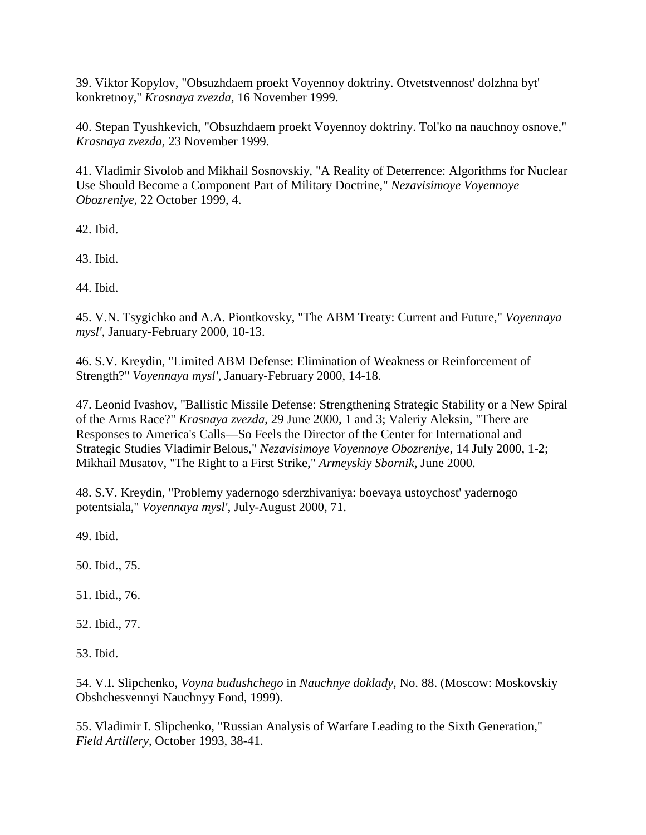39. Viktor Kopylov, "Obsuzhdaem proekt Voyennoy doktriny. Otvetstvennost' dolzhna byt' konkretnoy," *Krasnaya zvezda*, 16 November 1999.

40. Stepan Tyushkevich, "Obsuzhdaem proekt Voyennoy doktriny. Tol'ko na nauchnoy osnove," *Krasnaya zvezda*, 23 November 1999.

41. Vladimir Sivolob and Mikhail Sosnovskiy, "A Reality of Deterrence: Algorithms for Nuclear Use Should Become a Component Part of Military Doctrine," *Nezavisimoye Voyennoye Obozreniye*, 22 October 1999, 4.

42. Ibid.

43. Ibid.

44. Ibid.

45. V.N. Tsygichko and A.A. Piontkovsky, "The ABM Treaty: Current and Future," *Voyennaya mysl'*, January-February 2000, 10-13.

46. S.V. Kreydin, "Limited ABM Defense: Elimination of Weakness or Reinforcement of Strength?" *Voyennaya mysl'*, January-February 2000, 14-18.

47. Leonid Ivashov, "Ballistic Missile Defense: Strengthening Strategic Stability or a New Spiral of the Arms Race?" *Krasnaya zvezda*, 29 June 2000, 1 and 3; Valeriy Aleksin, "There are Responses to America's Calls—So Feels the Director of the Center for International and Strategic Studies Vladimir Belous," *Nezavisimoye Voyennoye Obozreniye*, 14 July 2000, 1-2; Mikhail Musatov, "The Right to a First Strike," *Armeyskiy Sbornik*, June 2000.

48. S.V. Kreydin, "Problemy yadernogo sderzhivaniya: boevaya ustoychost' yadernogo potentsiala," *Voyennaya mysl'*, July-August 2000, 71.

49. Ibid.

50. Ibid., 75.

51. Ibid., 76.

52. Ibid., 77.

53. Ibid.

54. V.I. Slipchenko, *Voyna budushchego* in *Nauchnye doklady*, No. 88. (Moscow: Moskovskiy Obshchesvennyi Nauchnyy Fond, 1999).

55. Vladimir I. Slipchenko, "Russian Analysis of Warfare Leading to the Sixth Generation," *Field Artillery*, October 1993, 38-41.